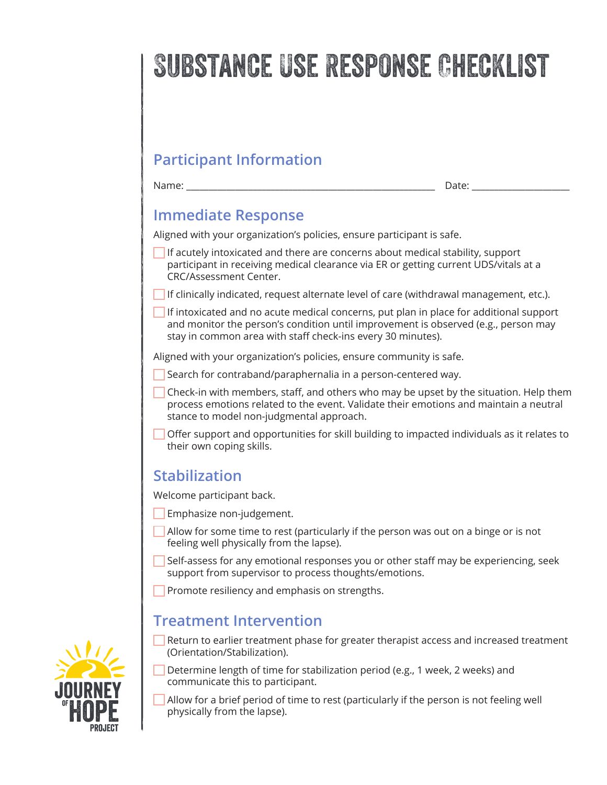# Substance Use Response Checklist

# **Participant Information**

Name: \_\_\_\_\_\_\_\_\_\_\_\_\_\_\_\_\_\_\_\_\_\_\_\_\_\_\_\_\_\_\_\_\_\_\_\_\_\_\_\_\_\_\_\_\_\_\_\_\_\_\_\_\_\_\_\_ Date: \_\_\_\_\_\_\_\_\_\_\_\_\_\_\_\_\_\_\_\_\_\_

## **Immediate Response**

Aligned with your organization's policies, ensure participant is safe.

If acutely intoxicated and there are concerns about medical stability, support participant in receiving medical clearance via ER or getting current UDS/vitals at a CRC/Assessment Center.

If clinically indicated, request alternate level of care (withdrawal management, etc.).

If intoxicated and no acute medical concerns, put plan in place for additional support and monitor the person's condition until improvement is observed (e.g., person may stay in common area with staff check-ins every 30 minutes).

Aligned with your organization's policies, ensure community is safe.

Search for contraband/paraphernalia in a person-centered way.

- $\Box$  Check-in with members, staff, and others who may be upset by the situation. Help them process emotions related to the event. Validate their emotions and maintain a neutral stance to model non-judgmental approach.
- Offer support and opportunities for skill building to impacted individuals as it relates to their own coping skills.

### **Stabilization**

Welcome participant back.

- Emphasize non-judgement.
- $\Box$  Allow for some time to rest (particularly if the person was out on a binge or is not feeling well physically from the lapse).
- Self-assess for any emotional responses you or other staff may be experiencing, seek support from supervisor to process thoughts/emotions.

**Promote resiliency and emphasis on strengths.** 

### **Treatment Intervention**

Return to earlier treatment phase for greater therapist access and increased treatment (Orientation/Stabilization).

Determine length of time for stabilization period (e.g., 1 week, 2 weeks) and communicate this to participant.

Allow for a brief period of time to rest (particularly if the person is not feeling well physically from the lapse).